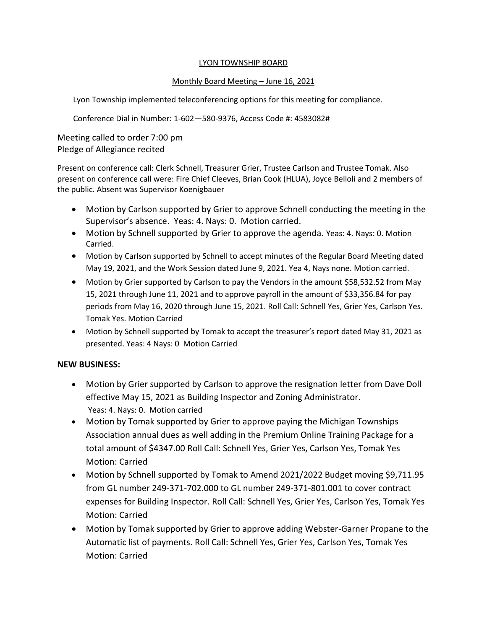#### LYON TOWNSHIP BOARD

#### Monthly Board Meeting – June 16, 2021

Lyon Township implemented teleconferencing options for this meeting for compliance.

Conference Dial in Number: 1-602—580-9376, Access Code #: 4583082#

Meeting called to order 7:00 pm Pledge of Allegiance recited

Present on conference call: Clerk Schnell, Treasurer Grier, Trustee Carlson and Trustee Tomak. Also present on conference call were: Fire Chief Cleeves, Brian Cook (HLUA), Joyce Belloli and 2 members of the public. Absent was Supervisor Koenigbauer

- Motion by Carlson supported by Grier to approve Schnell conducting the meeting in the Supervisor's absence. Yeas: 4. Nays: 0. Motion carried.
- Motion by Schnell supported by Grier to approve the agenda. Yeas: 4. Nays: 0. Motion Carried.
- Motion by Carlson supported by Schnell to accept minutes of the Regular Board Meeting dated May 19, 2021, and the Work Session dated June 9, 2021. Yea 4, Nays none. Motion carried.
- Motion by Grier supported by Carlson to pay the Vendors in the amount \$58,532.52 from May 15, 2021 through June 11, 2021 and to approve payroll in the amount of \$33,356.84 for pay periods from May 16, 2020 through June 15, 2021. Roll Call: Schnell Yes, Grier Yes, Carlson Yes. Tomak Yes. Motion Carried
- Motion by Schnell supported by Tomak to accept the treasurer's report dated May 31, 2021 as presented. Yeas: 4 Nays: 0 Motion Carried

# **NEW BUSINESS:**

- Motion by Grier supported by Carlson to approve the resignation letter from Dave Doll effective May 15, 2021 as Building Inspector and Zoning Administrator. Yeas: 4. Nays: 0. Motion carried
- Motion by Tomak supported by Grier to approve paying the Michigan Townships Association annual dues as well adding in the Premium Online Training Package for a total amount of \$4347.00 Roll Call: Schnell Yes, Grier Yes, Carlson Yes, Tomak Yes Motion: Carried
- Motion by Schnell supported by Tomak to Amend 2021/2022 Budget moving \$9,711.95 from GL number 249-371-702.000 to GL number 249-371-801.001 to cover contract expenses for Building Inspector. Roll Call: Schnell Yes, Grier Yes, Carlson Yes, Tomak Yes Motion: Carried
- Motion by Tomak supported by Grier to approve adding Webster-Garner Propane to the Automatic list of payments. Roll Call: Schnell Yes, Grier Yes, Carlson Yes, Tomak Yes Motion: Carried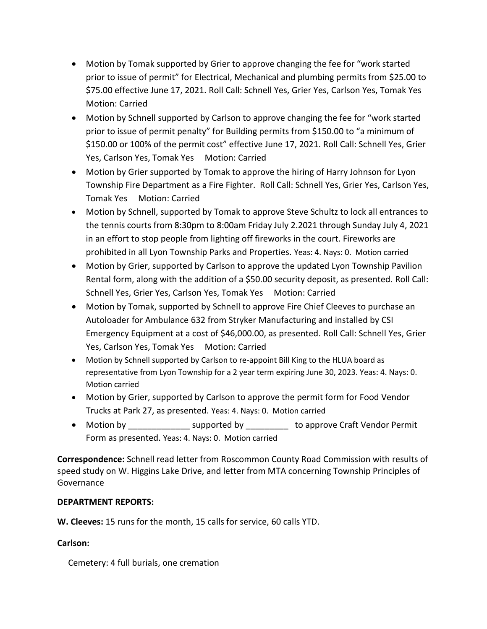- Motion by Tomak supported by Grier to approve changing the fee for "work started prior to issue of permit" for Electrical, Mechanical and plumbing permits from \$25.00 to \$75.00 effective June 17, 2021. Roll Call: Schnell Yes, Grier Yes, Carlson Yes, Tomak Yes Motion: Carried
- Motion by Schnell supported by Carlson to approve changing the fee for "work started prior to issue of permit penalty" for Building permits from \$150.00 to "a minimum of \$150.00 or 100% of the permit cost" effective June 17, 2021. Roll Call: Schnell Yes, Grier Yes, Carlson Yes, Tomak Yes Motion: Carried
- Motion by Grier supported by Tomak to approve the hiring of Harry Johnson for Lyon Township Fire Department as a Fire Fighter. Roll Call: Schnell Yes, Grier Yes, Carlson Yes, Tomak Yes Motion: Carried
- Motion by Schnell, supported by Tomak to approve Steve Schultz to lock all entrances to the tennis courts from 8:30pm to 8:00am Friday July 2.2021 through Sunday July 4, 2021 in an effort to stop people from lighting off fireworks in the court. Fireworks are prohibited in all Lyon Township Parks and Properties. Yeas: 4. Nays: 0. Motion carried
- Motion by Grier, supported by Carlson to approve the updated Lyon Township Pavilion Rental form, along with the addition of a \$50.00 security deposit, as presented. Roll Call: Schnell Yes, Grier Yes, Carlson Yes, Tomak Yes Motion: Carried
- Motion by Tomak, supported by Schnell to approve Fire Chief Cleeves to purchase an Autoloader for Ambulance 632 from Stryker Manufacturing and installed by CSI Emergency Equipment at a cost of \$46,000.00, as presented. Roll Call: Schnell Yes, Grier Yes, Carlson Yes, Tomak Yes Motion: Carried
- Motion by Schnell supported by Carlson to re-appoint Bill King to the HLUA board as representative from Lyon Township for a 2 year term expiring June 30, 2023. Yeas: 4. Nays: 0. Motion carried
- Motion by Grier, supported by Carlson to approve the permit form for Food Vendor Trucks at Park 27, as presented. Yeas: 4. Nays: 0. Motion carried
- Motion by **Example 2** supported by **the approve Craft Vendor Permit** Form as presented. Yeas: 4. Nays: 0. Motion carried

**Correspondence:** Schnell read letter from Roscommon County Road Commission with results of speed study on W. Higgins Lake Drive, and letter from MTA concerning Township Principles of Governance

# **DEPARTMENT REPORTS:**

**W. Cleeves:** 15 runs for the month, 15 calls for service, 60 calls YTD.

# **Carlson:**

Cemetery: 4 full burials, one cremation